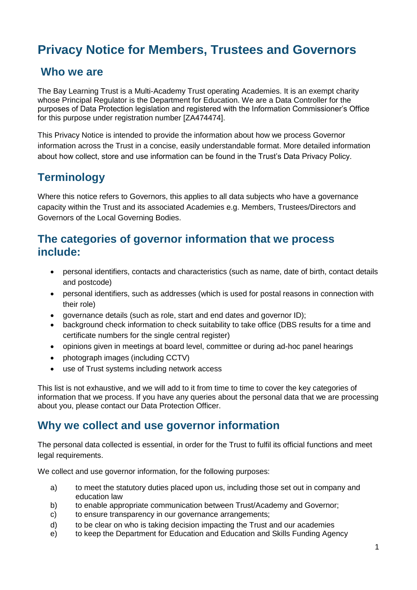# **Privacy Notice for Members, Trustees and Governors**

### **Who we are**

The Bay Learning Trust is a Multi-Academy Trust operating Academies. It is an exempt charity whose Principal Regulator is the Department for Education. We are a Data Controller for the purposes of Data Protection legislation and registered with the Information Commissioner's Office for this purpose under registration number [ZA474474].

This Privacy Notice is intended to provide the information about how we process Governor information across the Trust in a concise, easily understandable format. More detailed information about how collect, store and use information can be found in the Trust's Data Privacy Policy.

### **Terminology**

Where this notice refers to Governors, this applies to all data subjects who have a governance capacity within the Trust and its associated Academies e.g. Members, Trustees/Directors and Governors of the Local Governing Bodies.

### **The categories of governor information that we process include:**

- personal identifiers, contacts and characteristics (such as name, date of birth, contact details and postcode)
- personal identifiers, such as addresses (which is used for postal reasons in connection with their role)
- governance details (such as role, start and end dates and governor ID);
- background check information to check suitability to take office (DBS results for a time and certificate numbers for the single central register)
- opinions given in meetings at board level, committee or during ad-hoc panel hearings
- photograph images (including CCTV)
- use of Trust systems including network access

This list is not exhaustive, and we will add to it from time to time to cover the key categories of information that we process. If you have any queries about the personal data that we are processing about you, please contact our Data Protection Officer.

### **Why we collect and use governor information**

The personal data collected is essential, in order for the Trust to fulfil its official functions and meet legal requirements.

We collect and use governor information, for the following purposes:

- a) to meet the statutory duties placed upon us, including those set out in company and education law
- b) to enable appropriate communication between Trust/Academy and Governor;
- c) to ensure transparency in our governance arrangements;
- d) to be clear on who is taking decision impacting the Trust and our academies
- e) to keep the Department for Education and Education and Skills Funding Agency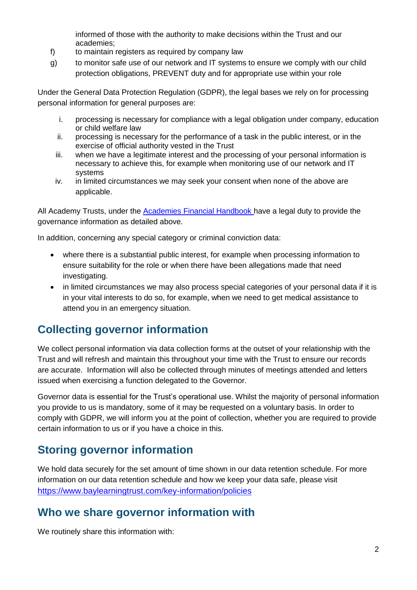informed of those with the authority to make decisions within the Trust and our academies;

- f) to maintain registers as required by company law
- g) to monitor safe use of our network and IT systems to ensure we comply with our child protection obligations, PREVENT duty and for appropriate use within your role

Under the General Data Protection Regulation (GDPR), the legal bases we rely on for processing personal information for general purposes are:

- i. processing is necessary for compliance with a legal obligation under company, education or child welfare law
- ii. processing is necessary for the performance of a task in the public interest, or in the exercise of official authority vested in the Trust
- iii. when we have a legitimate interest and the processing of your personal information is necessary to achieve this, for example when monitoring use of our network and IT systems
- iv. in limited circumstances we may seek your consent when none of the above are applicable.

All Academy Trusts, under the [Academies Financial Handbook h](https://www.gov.uk/government/publications/academies-financial-handbook)ave a legal duty to provide the governance information as detailed above.

In addition, concerning any special category or criminal conviction data:

- where there is a substantial public interest, for example when processing information to ensure suitability for the role or when there have been allegations made that need investigating.
- in limited circumstances we may also process special categories of your personal data if it is in your vital interests to do so, for example, when we need to get medical assistance to attend you in an emergency situation.

# **Collecting governor information**

We collect personal information via data collection forms at the outset of your relationship with the Trust and will refresh and maintain this throughout your time with the Trust to ensure our records are accurate. Information will also be collected through minutes of meetings attended and letters issued when exercising a function delegated to the Governor.

Governor data is essential for the Trust's operational use. Whilst the majority of personal information you provide to us is mandatory, some of it may be requested on a voluntary basis. In order to comply with GDPR, we will inform you at the point of collection, whether you are required to provide certain information to us or if you have a choice in this.

# **Storing governor information**

We hold data securely for the set amount of time shown in our data retention schedule. For more information on our data retention schedule and how we keep your data safe, please visit <https://www.baylearningtrust.com/key-information/policies>

# **Who we share governor information with**

We routinely share this information with: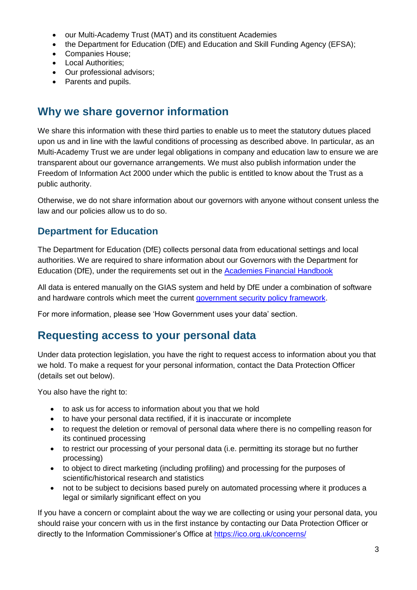- our Multi-Academy Trust (MAT) and its constituent Academies
- the Department for Education (DfE) and Education and Skill Funding Agency (EFSA);
- Companies House;
- Local Authorities:
- Our professional advisors;
- Parents and pupils.

# **Why we share governor information**

We share this information with these third parties to enable us to meet the statutory dutues placed upon us and in line with the lawful conditions of processing as described above. In particular, as an Multi-Academy Trust we are under legal obligations in company and education law to ensure we are transparent about our governance arrangements. We must also publish information under the Freedom of Information Act 2000 under which the public is entitled to know about the Trust as a public authority.

Otherwise, we do not share information about our governors with anyone without consent unless the law and our policies allow us to do so.

#### **Department for Education**

The Department for Education (DfE) collects personal data from educational settings and local authorities. We are required to share information about our Governors with the Department for Education (DfE), under the requirements set out in the [Academies Financial Handbook](https://www.gov.uk/government/publications/academies-financial-handbook) 

All data is entered manually on the GIAS system and held by DfE under a combination of software and hardware controls which meet the current [government security policy framework.](https://www.gov.uk/government/publications/security-policy-framework)

For more information, please see 'How Government uses your data' section.

## **Requesting access to your personal data**

Under data protection legislation, you have the right to request access to information about you that we hold. To make a request for your personal information, contact the Data Protection Officer (details set out below).

You also have the right to:

- to ask us for access to information about you that we hold
- to have your personal data rectified, if it is inaccurate or incomplete
- to request the deletion or removal of personal data where there is no compelling reason for its continued processing
- to restrict our processing of your personal data (i.e. permitting its storage but no further processing)
- to object to direct marketing (including profiling) and processing for the purposes of scientific/historical research and statistics
- not to be subject to decisions based purely on automated processing where it produces a legal or similarly significant effect on you

If you have a concern or complaint about the way we are collecting or using your personal data, you should raise your concern with us in the first instance by contacting our Data Protection Officer or directly to the Information Commissioner's Office at<https://ico.org.uk/concerns/>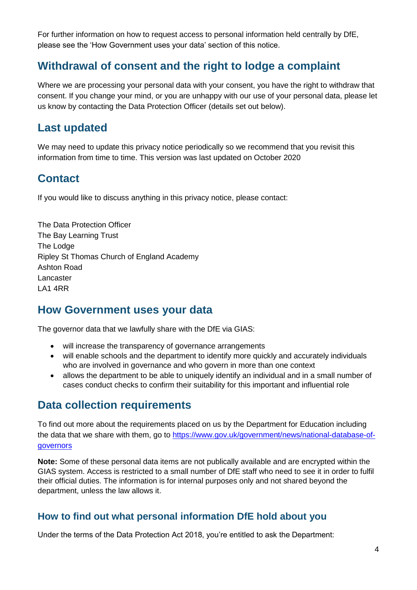For further information on how to request access to personal information held centrally by DfE, please see the 'How Government uses your data' section of this notice.

# **Withdrawal of consent and the right to lodge a complaint**

Where we are processing your personal data with your consent, you have the right to withdraw that consent. If you change your mind, or you are unhappy with our use of your personal data, please let us know by contacting the Data Protection Officer (details set out below).

### **Last updated**

We may need to update this privacy notice periodically so we recommend that you revisit this information from time to time. This version was last updated on October 2020

# **Contact**

If you would like to discuss anything in this privacy notice, please contact:

The Data Protection Officer The Bay Learning Trust The Lodge Ripley St Thomas Church of England Academy Ashton Road Lancaster LA1 4RR

### **How Government uses your data**

The governor data that we lawfully share with the DfE via GIAS:

- will increase the transparency of governance arrangements
- will enable schools and the department to identify more quickly and accurately individuals who are involved in governance and who govern in more than one context
- allows the department to be able to uniquely identify an individual and in a small number of cases conduct checks to confirm their suitability for this important and influential role

### **Data collection requirements**

To find out more about the requirements placed on us by the Department for Education including the data that we share with them, go to [https://www.gov.uk/government/news/national-database-of](https://www.gov.uk/government/news/national-database-of-governors)[governors](https://www.gov.uk/government/news/national-database-of-governors)

**Note:** Some of these personal data items are not publically available and are encrypted within the GIAS system. Access is restricted to a small number of DfE staff who need to see it in order to fulfil their official duties. The information is for internal purposes only and not shared beyond the department, unless the law allows it.

#### **How to find out what personal information DfE hold about you**

Under the terms of the Data Protection Act 2018, you're entitled to ask the Department: